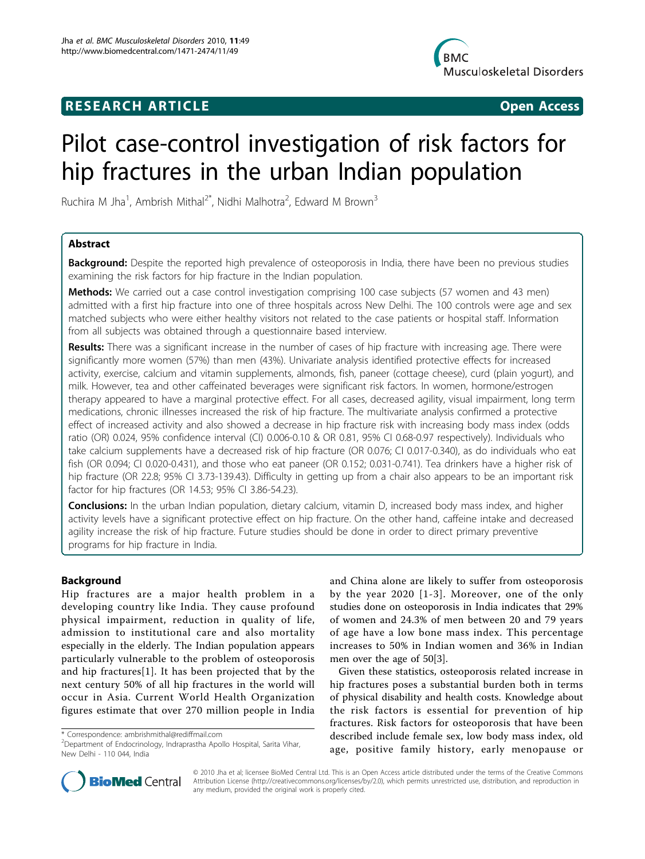# **RESEARCH ARTICLE Example 2018 CONSIDERING ACCESS**



# Pilot case-control investigation of risk factors for hip fractures in the urban Indian population

Ruchira M Jha<sup>1</sup>, Ambrish Mithal<sup>2\*</sup>, Nidhi Malhotra<sup>2</sup>, Edward M Brown<sup>3</sup>

# Abstract

**Background:** Despite the reported high prevalence of osteoporosis in India, there have been no previous studies examining the risk factors for hip fracture in the Indian population.

Methods: We carried out a case control investigation comprising 100 case subjects (57 women and 43 men) admitted with a first hip fracture into one of three hospitals across New Delhi. The 100 controls were age and sex matched subjects who were either healthy visitors not related to the case patients or hospital staff. Information from all subjects was obtained through a questionnaire based interview.

Results: There was a significant increase in the number of cases of hip fracture with increasing age. There were significantly more women (57%) than men (43%). Univariate analysis identified protective effects for increased activity, exercise, calcium and vitamin supplements, almonds, fish, paneer (cottage cheese), curd (plain yogurt), and milk. However, tea and other caffeinated beverages were significant risk factors. In women, hormone/estrogen therapy appeared to have a marginal protective effect. For all cases, decreased agility, visual impairment, long term medications, chronic illnesses increased the risk of hip fracture. The multivariate analysis confirmed a protective effect of increased activity and also showed a decrease in hip fracture risk with increasing body mass index (odds ratio (OR) 0.024, 95% confidence interval (CI) 0.006-0.10 & OR 0.81, 95% CI 0.68-0.97 respectively). Individuals who take calcium supplements have a decreased risk of hip fracture (OR 0.076; CI 0.017-0.340), as do individuals who eat fish (OR 0.094; CI 0.020-0.431), and those who eat paneer (OR 0.152; 0.031-0.741). Tea drinkers have a higher risk of hip fracture (OR 22.8; 95% CI 3.73-139.43). Difficulty in getting up from a chair also appears to be an important risk factor for hip fractures (OR 14.53; 95% CI 3.86-54.23).

Conclusions: In the urban Indian population, dietary calcium, vitamin D, increased body mass index, and higher activity levels have a significant protective effect on hip fracture. On the other hand, caffeine intake and decreased agility increase the risk of hip fracture. Future studies should be done in order to direct primary preventive programs for hip fracture in India.

# Background

Hip fractures are a major health problem in a developing country like India. They cause profound physical impairment, reduction in quality of life, admission to institutional care and also mortality especially in the elderly. The Indian population appears particularly vulnerable to the problem of osteoporosis and hip fractures[[1](#page-9-0)]. It has been projected that by the next century 50% of all hip fractures in the world will occur in Asia. Current World Health Organization figures estimate that over 270 million people in India

and China alone are likely to suffer from osteoporosis by the year 2020 [[1](#page-9-0)-[3\]](#page-9-0). Moreover, one of the only studies done on osteoporosis in India indicates that 29% of women and 24.3% of men between 20 and 79 years of age have a low bone mass index. This percentage increases to 50% in Indian women and 36% in Indian men over the age of 50[[3](#page-9-0)].

Given these statistics, osteoporosis related increase in hip fractures poses a substantial burden both in terms of physical disability and health costs. Knowledge about the risk factors is essential for prevention of hip fractures. Risk factors for osteoporosis that have been described include female sex, low body mass index, old age, positive family history, early menopause or



© 2010 Jha et al; licensee BioMed Central Ltd. This is an Open Access article distributed under the terms of the Creative Commons Attribution License [\(http://creativecommons.org/licenses/by/2.0](http://creativecommons.org/licenses/by/2.0)), which permits unrestricted use, distribution, and reproduction in any medium, provided the original work is properly cited.

<sup>\*</sup> Correspondence: [ambrishmithal@rediffmail.com](mailto:ambrishmithal@rediffmail.com)

<sup>&</sup>lt;sup>2</sup> Department of Endocrinology, Indraprastha Apollo Hospital, Sarita Vihar, New Delhi - 110 044, India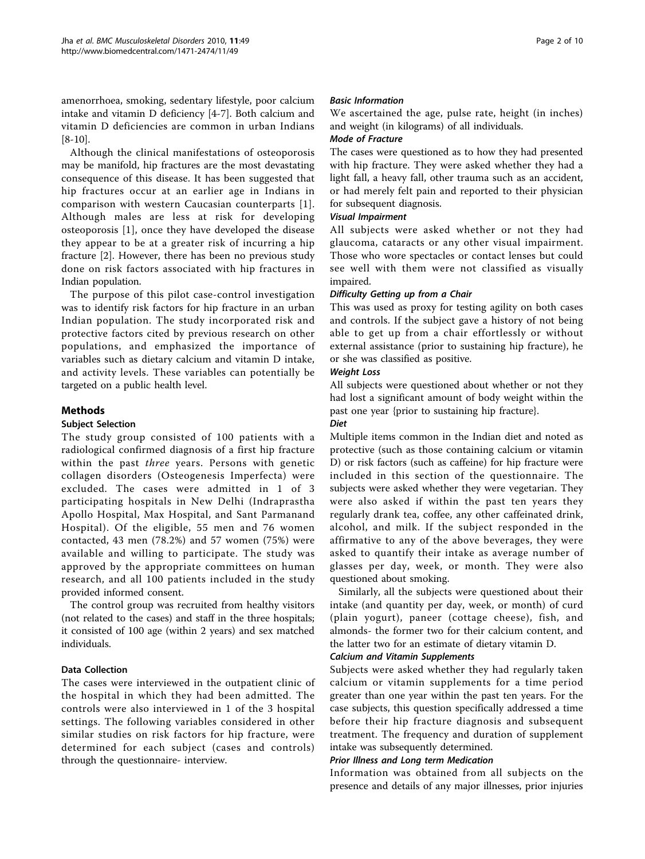amenorrhoea, smoking, sedentary lifestyle, poor calcium intake and vitamin D deficiency [\[4](#page-9-0)-[7\]](#page-9-0). Both calcium and vitamin D deficiencies are common in urban Indians [[8-10](#page-9-0)].

Although the clinical manifestations of osteoporosis may be manifold, hip fractures are the most devastating consequence of this disease. It has been suggested that hip fractures occur at an earlier age in Indians in comparison with western Caucasian counterparts [[1\]](#page-9-0). Although males are less at risk for developing osteoporosis [\[1](#page-9-0)], once they have developed the disease they appear to be at a greater risk of incurring a hip fracture [[2\]](#page-9-0). However, there has been no previous study done on risk factors associated with hip fractures in Indian population.

The purpose of this pilot case-control investigation was to identify risk factors for hip fracture in an urban Indian population. The study incorporated risk and protective factors cited by previous research on other populations, and emphasized the importance of variables such as dietary calcium and vitamin D intake, and activity levels. These variables can potentially be targeted on a public health level.

# Methods

# Subject Selection

The study group consisted of 100 patients with a radiological confirmed diagnosis of a first hip fracture within the past *three* years. Persons with genetic collagen disorders (Osteogenesis Imperfecta) were excluded. The cases were admitted in 1 of 3 participating hospitals in New Delhi (Indraprastha Apollo Hospital, Max Hospital, and Sant Parmanand Hospital). Of the eligible, 55 men and 76 women contacted, 43 men (78.2%) and 57 women (75%) were available and willing to participate. The study was approved by the appropriate committees on human research, and all 100 patients included in the study provided informed consent.

The control group was recruited from healthy visitors (not related to the cases) and staff in the three hospitals; it consisted of 100 age (within 2 years) and sex matched individuals.

# Data Collection

The cases were interviewed in the outpatient clinic of the hospital in which they had been admitted. The controls were also interviewed in 1 of the 3 hospital settings. The following variables considered in other similar studies on risk factors for hip fracture, were determined for each subject (cases and controls) through the questionnaire- interview.

# Basic Information

We ascertained the age, pulse rate, height (in inches) and weight (in kilograms) of all individuals.

#### Mode of Fracture

The cases were questioned as to how they had presented with hip fracture. They were asked whether they had a light fall, a heavy fall, other trauma such as an accident, or had merely felt pain and reported to their physician for subsequent diagnosis.

# Visual Impairment

All subjects were asked whether or not they had glaucoma, cataracts or any other visual impairment. Those who wore spectacles or contact lenses but could see well with them were not classified as visually impaired.

# Difficulty Getting up from a Chair

This was used as proxy for testing agility on both cases and controls. If the subject gave a history of not being able to get up from a chair effortlessly or without external assistance (prior to sustaining hip fracture), he or she was classified as positive.

# Weight Loss

All subjects were questioned about whether or not they had lost a significant amount of body weight within the past one year {prior to sustaining hip fracture}.

# Diet

Multiple items common in the Indian diet and noted as protective (such as those containing calcium or vitamin D) or risk factors (such as caffeine) for hip fracture were included in this section of the questionnaire. The subjects were asked whether they were vegetarian. They were also asked if within the past ten years they regularly drank tea, coffee, any other caffeinated drink, alcohol, and milk. If the subject responded in the affirmative to any of the above beverages, they were asked to quantify their intake as average number of glasses per day, week, or month. They were also questioned about smoking.

Similarly, all the subjects were questioned about their intake (and quantity per day, week, or month) of curd (plain yogurt), paneer (cottage cheese), fish, and almonds- the former two for their calcium content, and the latter two for an estimate of dietary vitamin D.

# Calcium and Vitamin Supplements

Subjects were asked whether they had regularly taken calcium or vitamin supplements for a time period greater than one year within the past ten years. For the case subjects, this question specifically addressed a time before their hip fracture diagnosis and subsequent treatment. The frequency and duration of supplement intake was subsequently determined.

#### Prior Illness and Long term Medication

Information was obtained from all subjects on the presence and details of any major illnesses, prior injuries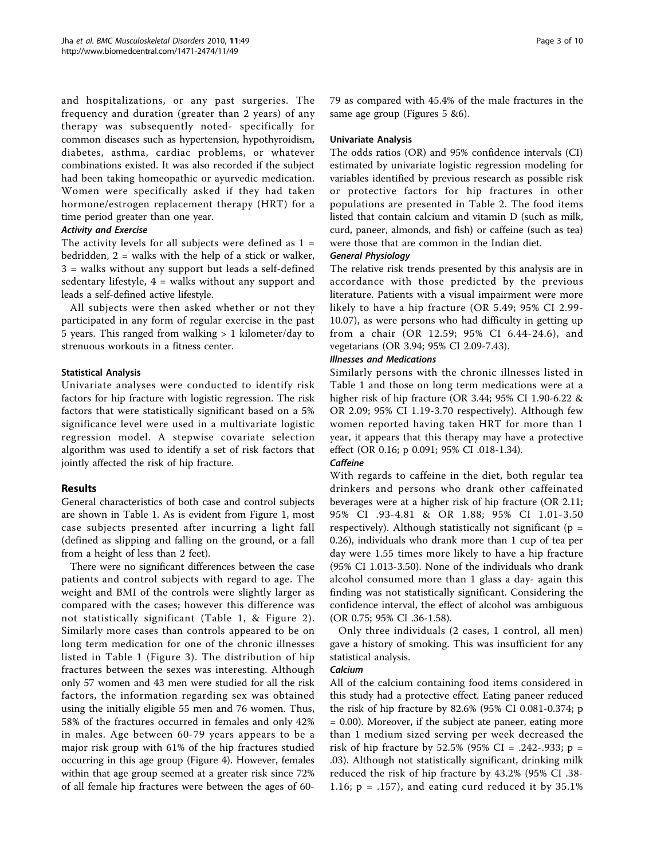and hospitalizations, or any past surgeries. The frequency and duration (greater than 2 years) of any therapy was subsequently noted- specifically for common diseases such as hypertension, hypothyroidism, diabetes, asthma, cardiac problems, or whatever combinations existed. It was also recorded if the subject had been taking homeopathic or ayurvedic medication. Women were specifically asked if they had taken hormone/estrogen replacement therapy (HRT) for a time period greater than one year.

# Activity and Exercise

The activity levels for all subjects were defined as  $1 =$ bedridden, 2 = walks with the help of a stick or walker, 3 = walks without any support but leads a self-defined sedentary lifestyle, 4 = walks without any support and leads a self-defined active lifestyle.

All subjects were then asked whether or not they participated in any form of regular exercise in the past 5 years. This ranged from walking  $> 1$  kilometer/day to strenuous workouts in a fitness center.

# Statistical Analysis

Univariate analyses were conducted to identify risk factors for hip fracture with logistic regression. The risk factors that were statistically significant based on a 5% significance level were used in a multivariate logistic regression model. A stepwise covariate selection algorithm was used to identify a set of risk factors that jointly affected the risk of hip fracture.

# Results

General characteristics of both case and control subjects are shown in Table [1](#page-3-0). As is evident from Figure [1,](#page-3-0) most case subjects presented after incurring a light fall (defined as slipping and falling on the ground, or a fall from a height of less than 2 feet).

There were no significant differences between the case patients and control subjects with regard to age. The weight and BMI of the controls were slightly larger as compared with the cases; however this difference was not statistically significant (Table [1,](#page-3-0) & Figure [2\)](#page-4-0). Similarly more cases than controls appeared to be on long term medication for one of the chronic illnesses listed in Table [1](#page-3-0) (Figure [3](#page-4-0)). The distribution of hip fractures between the sexes was interesting. Although only 57 women and 43 men were studied for all the risk factors, the information regarding sex was obtained using the initially eligible 55 men and 76 women. Thus, 58% of the fractures occurred in females and only 42% in males. Age between 60-79 years appears to be a major risk group with 61% of the hip fractures studied occurring in this age group (Figure [4\)](#page-5-0). However, females within that age group seemed at a greater risk since 72% of all female hip fractures were between the ages of 6079 as compared with 45.4% of the male fractures in the same age group (Figures [5](#page-5-0) [&6](#page-6-0)).

#### Univariate Analysis

The odds ratios (OR) and 95% confidence intervals (CI) estimated by univariate logistic regression modeling for variables identified by previous research as possible risk or protective factors for hip fractures in other populations are presented in Table [2](#page-7-0). The food items listed that contain calcium and vitamin D (such as milk, curd, paneer, almonds, and fish) or caffeine (such as tea) were those that are common in the Indian diet.

# General Physiology

The relative risk trends presented by this analysis are in accordance with those predicted by the previous literature. Patients with a visual impairment were more likely to have a hip fracture (OR 5.49; 95% CI 2.99- 10.07), as were persons who had difficulty in getting up from a chair (OR 12.59; 95% CI 6.44-24.6), and vegetarians (OR 3.94; 95% CI 2.09-7.43).

#### Illnesses and Medications

Similarly persons with the chronic illnesses listed in Table [1](#page-3-0) and those on long term medications were at a higher risk of hip fracture (OR 3.44; 95% CI 1.90-6.22 & OR 2.09; 95% CI 1.19-3.70 respectively). Although few women reported having taken HRT for more than 1 year, it appears that this therapy may have a protective effect (OR 0.16; p 0.091; 95% CI .018-1.34).

# **Caffeine**

With regards to caffeine in the diet, both regular tea drinkers and persons who drank other caffeinated beverages were at a higher risk of hip fracture (OR 2.11; 95% CI .93-4.81 & OR 1.88; 95% CI 1.01-3.50 respectively). Although statistically not significant ( $p =$ 0.26), individuals who drank more than 1 cup of tea per day were 1.55 times more likely to have a hip fracture (95% CI 1.013-3.50). None of the individuals who drank alcohol consumed more than 1 glass a day- again this finding was not statistically significant. Considering the confidence interval, the effect of alcohol was ambiguous (OR 0.75; 95% CI .36-1.58).

Only three individuals (2 cases, 1 control, all men) gave a history of smoking. This was insufficient for any statistical analysis.

#### **Calcium**

All of the calcium containing food items considered in this study had a protective effect. Eating paneer reduced the risk of hip fracture by 82.6% (95% CI 0.081-0.374; p = 0.00). Moreover, if the subject ate paneer, eating more than 1 medium sized serving per week decreased the risk of hip fracture by 52.5% (95% CI = .242-.933; p = .03). Although not statistically significant, drinking milk reduced the risk of hip fracture by 43.2% (95% CI .38- 1.16;  $p = .157$ ), and eating curd reduced it by 35.1%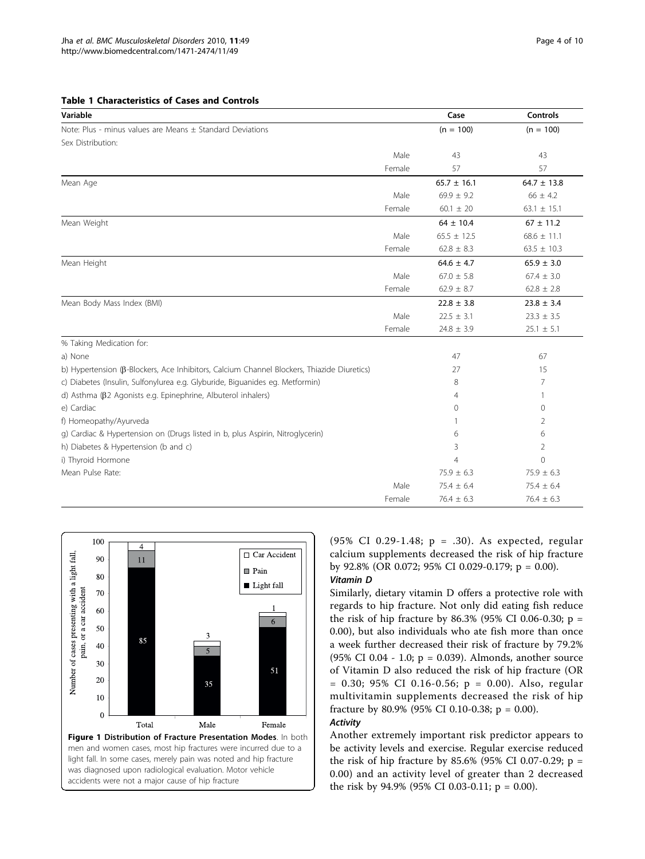<span id="page-3-0"></span>

| Table 1 Characteristics of Cases and Controls |
|-----------------------------------------------|
|-----------------------------------------------|

| Variable                                                                                   |        | Case            | <b>Controls</b> |
|--------------------------------------------------------------------------------------------|--------|-----------------|-----------------|
| Note: Plus - minus values are Means ± Standard Deviations                                  |        | $(n = 100)$     | $(n = 100)$     |
| Sex Distribution:                                                                          |        |                 |                 |
|                                                                                            | Male   | 43              | 43              |
|                                                                                            | Female | 57              | 57              |
| Mean Age                                                                                   |        | $65.7 \pm 16.1$ | $64.7 \pm 13.8$ |
|                                                                                            | Male   | $69.9 \pm 9.2$  | $66 \pm 4.2$    |
|                                                                                            | Female | $60.1 \pm 20$   | $63.1 \pm 15.1$ |
| Mean Weight                                                                                |        | $64 \pm 10.4$   | $67 \pm 11.2$   |
|                                                                                            | Male   | $65.5 \pm 12.5$ | $68.6 \pm 11.1$ |
|                                                                                            | Female | $62.8 \pm 8.3$  | $63.5 \pm 10.3$ |
| Mean Height                                                                                |        | $64.6 \pm 4.7$  | $65.9 \pm 3.0$  |
|                                                                                            | Male   | $67.0 \pm 5.8$  | $67.4 \pm 3.0$  |
|                                                                                            | Female | $62.9 \pm 8.7$  | $62.8 \pm 2.8$  |
| Mean Body Mass Index (BMI)                                                                 |        | $22.8 \pm 3.8$  | $23.8 \pm 3.4$  |
|                                                                                            | Male   | $22.5 \pm 3.1$  | $23.3 \pm 3.5$  |
|                                                                                            | Female | $24.8 \pm 3.9$  | $25.1 \pm 5.1$  |
| % Taking Medication for:                                                                   |        |                 |                 |
| a) None                                                                                    |        | 47              | 67              |
| b) Hypertension (B-Blockers, Ace Inhibitors, Calcium Channel Blockers, Thiazide Diuretics) |        | 27              | 15              |
| c) Diabetes (Insulin, Sulfonylurea e.g. Glyburide, Biguanides eg. Metformin)               |        | 8               | 7               |
| d) Asthma ( $\beta$ 2 Agonists e.g. Epinephrine, Albuterol inhalers)                       |        | 4               | 1               |
| e) Cardiac                                                                                 |        | 0               | 0               |
| f) Homeopathy/Ayurveda                                                                     |        | 1               | 2               |
| g) Cardiac & Hypertension on (Drugs listed in b, plus Aspirin, Nitroglycerin)              |        | 6               | 6               |
| h) Diabetes & Hypertension (b and c)                                                       |        | 3               | 2               |
| i) Thyroid Hormone                                                                         |        | $\overline{4}$  | $\Omega$        |
| Mean Pulse Rate:                                                                           |        | $75.9 \pm 6.3$  | $75.9 \pm 6.3$  |
|                                                                                            | Male   | $75.4 \pm 6.4$  | $75.4 \pm 6.4$  |
|                                                                                            | Female | $76.4 \pm 6.3$  | $76.4 \pm 6.3$  |



(95% CI 0.29-1.48; p = .30). As expected, regular calcium supplements decreased the risk of hip fracture by 92.8% (OR 0.072; 95% CI 0.029-0.179; p = 0.00).

# Vitamin D

Similarly, dietary vitamin D offers a protective role with regards to hip fracture. Not only did eating fish reduce the risk of hip fracture by  $86.3\%$  (95% CI 0.06-0.30; p = 0.00), but also individuals who ate fish more than once a week further decreased their risk of fracture by 79.2% (95% CI 0.04 - 1.0; p = 0.039). Almonds, another source of Vitamin D also reduced the risk of hip fracture (OR  $= 0.30$ ; 95% CI 0.16-0.56; p  $= 0.00$ ). Also, regular multivitamin supplements decreased the risk of hip fracture by 80.9% (95% CI 0.10-0.38;  $p = 0.00$ ).

# **Activity**

Another extremely important risk predictor appears to be activity levels and exercise. Regular exercise reduced the risk of hip fracture by 85.6% (95% CI 0.07-0.29;  $p =$ 0.00) and an activity level of greater than 2 decreased the risk by 94.9% (95% CI 0.03-0.11;  $p = 0.00$ ).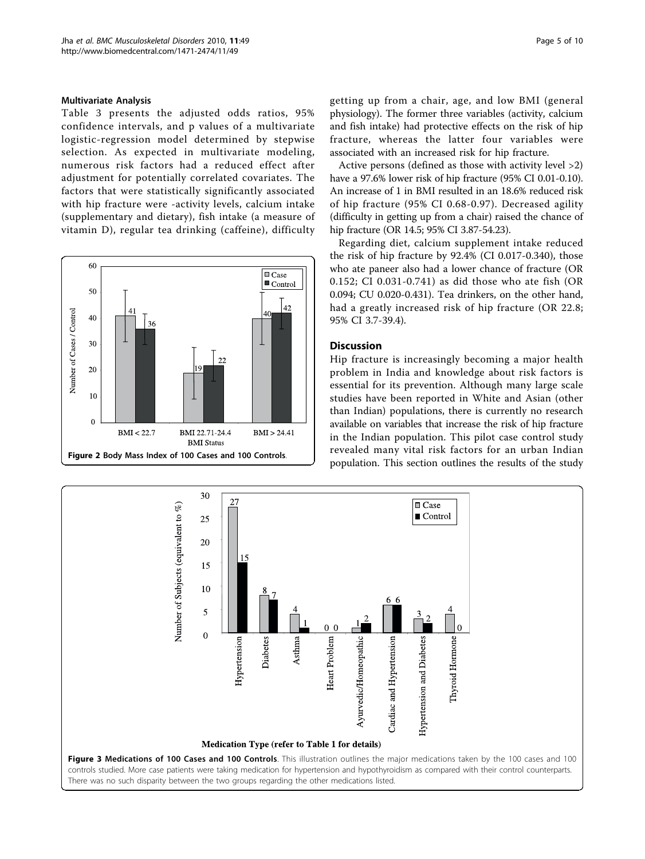#### <span id="page-4-0"></span>Multivariate Analysis

Table [3](#page-8-0) presents the adjusted odds ratios, 95% confidence intervals, and p values of a multivariate logistic-regression model determined by stepwise selection. As expected in multivariate modeling, numerous risk factors had a reduced effect after adjustment for potentially correlated covariates. The factors that were statistically significantly associated with hip fracture were -activity levels, calcium intake (supplementary and dietary), fish intake (a measure of vitamin D), regular tea drinking (caffeine), difficulty



getting up from a chair, age, and low BMI (general physiology). The former three variables (activity, calcium and fish intake) had protective effects on the risk of hip fracture, whereas the latter four variables were associated with an increased risk for hip fracture.

Active persons (defined as those with activity level >2) have a 97.6% lower risk of hip fracture (95% CI 0.01-0.10). An increase of 1 in BMI resulted in an 18.6% reduced risk of hip fracture (95% CI 0.68-0.97). Decreased agility (difficulty in getting up from a chair) raised the chance of hip fracture (OR 14.5; 95% CI 3.87-54.23).

Regarding diet, calcium supplement intake reduced the risk of hip fracture by 92.4% (CI 0.017-0.340), those who ate paneer also had a lower chance of fracture (OR 0.152; CI 0.031-0.741) as did those who ate fish (OR 0.094; CU 0.020-0.431). Tea drinkers, on the other hand, had a greatly increased risk of hip fracture (OR 22.8; 95% CI 3.7-39.4).

# Discussion

Hip fracture is increasingly becoming a major health problem in India and knowledge about risk factors is essential for its prevention. Although many large scale studies have been reported in White and Asian (other than Indian) populations, there is currently no research available on variables that increase the risk of hip fracture in the Indian population. This pilot case control study revealed many vital risk factors for an urban Indian population. This section outlines the results of the study

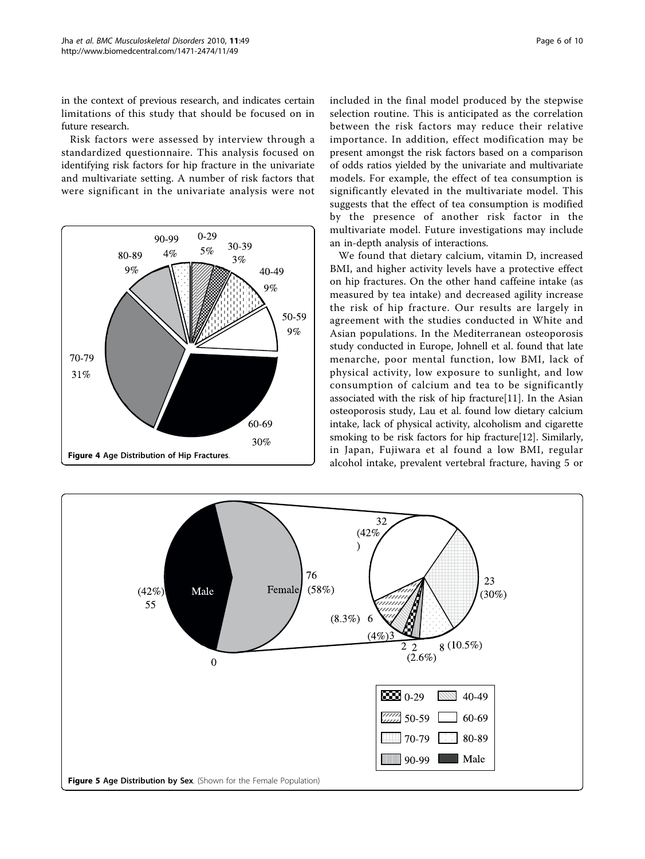<span id="page-5-0"></span>in the context of previous research, and indicates certain limitations of this study that should be focused on in future research.

Risk factors were assessed by interview through a standardized questionnaire. This analysis focused on identifying risk factors for hip fracture in the univariate and multivariate setting. A number of risk factors that were significant in the univariate analysis were not



included in the final model produced by the stepwise selection routine. This is anticipated as the correlation between the risk factors may reduce their relative importance. In addition, effect modification may be present amongst the risk factors based on a comparison of odds ratios yielded by the univariate and multivariate models. For example, the effect of tea consumption is significantly elevated in the multivariate model. This suggests that the effect of tea consumption is modified by the presence of another risk factor in the multivariate model. Future investigations may include an in-depth analysis of interactions.

We found that dietary calcium, vitamin D, increased BMI, and higher activity levels have a protective effect on hip fractures. On the other hand caffeine intake (as measured by tea intake) and decreased agility increase the risk of hip fracture. Our results are largely in agreement with the studies conducted in White and Asian populations. In the Mediterranean osteoporosis study conducted in Europe, Johnell et al. found that late menarche, poor mental function, low BMI, lack of physical activity, low exposure to sunlight, and low consumption of calcium and tea to be significantly associated with the risk of hip fracture[[11](#page-9-0)]. In the Asian osteoporosis study, Lau et al. found low dietary calcium intake, lack of physical activity, alcoholism and cigarette smoking to be risk factors for hip fracture[\[12\]](#page-9-0). Similarly, in Japan, Fujiwara et al found a low BMI, regular alcohol intake, prevalent vertebral fracture, having 5 or

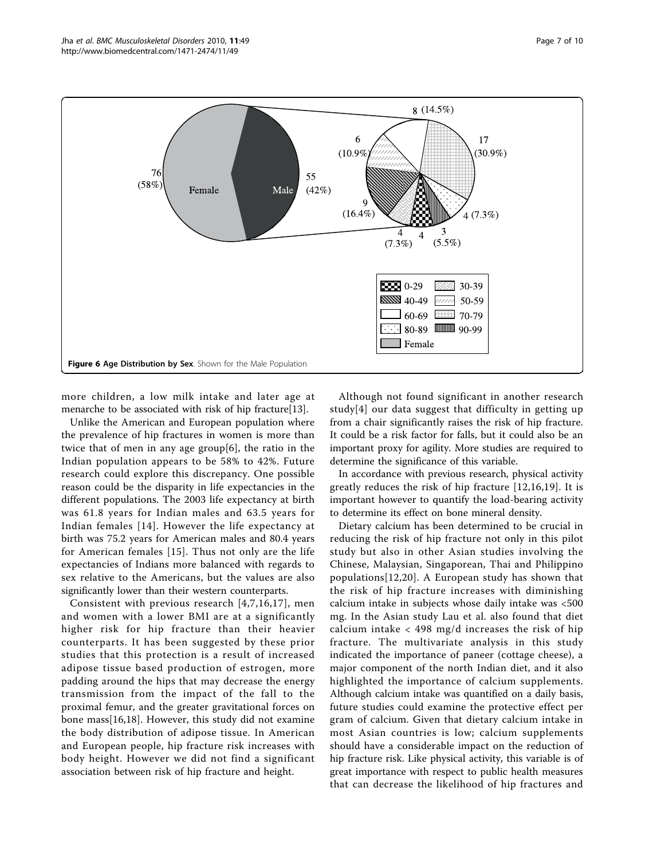<span id="page-6-0"></span>

more children, a low milk intake and later age at menarche to be associated with risk of hip fracture[[13\]](#page-9-0).

Unlike the American and European population where the prevalence of hip fractures in women is more than twice that of men in any age group[\[6\]](#page-9-0), the ratio in the Indian population appears to be 58% to 42%. Future research could explore this discrepancy. One possible reason could be the disparity in life expectancies in the different populations. The 2003 life expectancy at birth was 61.8 years for Indian males and 63.5 years for Indian females [[14\]](#page-9-0). However the life expectancy at birth was 75.2 years for American males and 80.4 years for American females [[15](#page-9-0)]. Thus not only are the life expectancies of Indians more balanced with regards to sex relative to the Americans, but the values are also significantly lower than their western counterparts.

Consistent with previous research [[4](#page-9-0),[7](#page-9-0),[16](#page-9-0),[17](#page-9-0)], men and women with a lower BMI are at a significantly higher risk for hip fracture than their heavier counterparts. It has been suggested by these prior studies that this protection is a result of increased adipose tissue based production of estrogen, more padding around the hips that may decrease the energy transmission from the impact of the fall to the proximal femur, and the greater gravitational forces on bone mass[\[16,18](#page-9-0)]. However, this study did not examine the body distribution of adipose tissue. In American and European people, hip fracture risk increases with body height. However we did not find a significant association between risk of hip fracture and height.

Although not found significant in another research study[\[4\]](#page-9-0) our data suggest that difficulty in getting up from a chair significantly raises the risk of hip fracture. It could be a risk factor for falls, but it could also be an important proxy for agility. More studies are required to determine the significance of this variable.

In accordance with previous research, physical activity greatly reduces the risk of hip fracture [[12,16,19\]](#page-9-0). It is important however to quantify the load-bearing activity to determine its effect on bone mineral density.

Dietary calcium has been determined to be crucial in reducing the risk of hip fracture not only in this pilot study but also in other Asian studies involving the Chinese, Malaysian, Singaporean, Thai and Philippino populations[[12,20\]](#page-9-0). A European study has shown that the risk of hip fracture increases with diminishing calcium intake in subjects whose daily intake was <500 mg. In the Asian study Lau et al. also found that diet calcium intake  $\langle 498 \text{ mg/d} \rangle$  increases the risk of hip fracture. The multivariate analysis in this study indicated the importance of paneer (cottage cheese), a major component of the north Indian diet, and it also highlighted the importance of calcium supplements. Although calcium intake was quantified on a daily basis, future studies could examine the protective effect per gram of calcium. Given that dietary calcium intake in most Asian countries is low; calcium supplements should have a considerable impact on the reduction of hip fracture risk. Like physical activity, this variable is of great importance with respect to public health measures that can decrease the likelihood of hip fractures and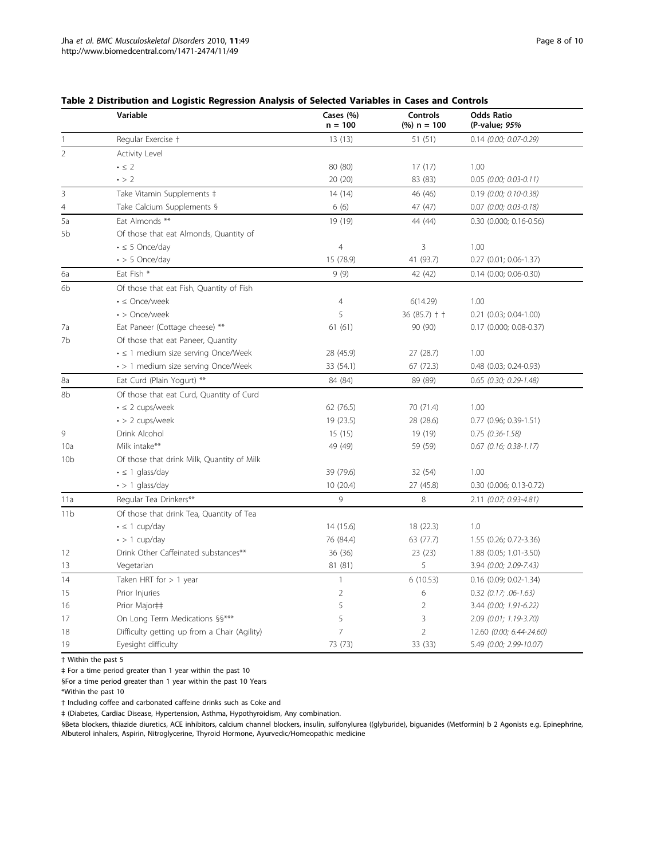#### <span id="page-7-0"></span>Table 2 Distribution and Logistic Regression Analysis of Selected Variables in Cases and Controls

|                 | Variable                                       | Cases (%)<br>$n = 100$ | <b>Controls</b><br>$%$ ) n = 100 | <b>Odds Ratio</b><br>(P-value; 95% |
|-----------------|------------------------------------------------|------------------------|----------------------------------|------------------------------------|
| 1               | Regular Exercise +                             | 13(13)                 | 51 (51)                          | $0.14$ (0.00; 0.07-0.29)           |
| $\overline{2}$  | Activity Level                                 |                        |                                  |                                    |
|                 | $\cdot \leq 2$                                 | 80 (80)                | 17(17)                           | 1.00                               |
|                 | $\cdot$ > 2                                    | 20 (20)                | 83 (83)                          | $0.05$ (0.00; 0.03-0.11)           |
| 3               | Take Vitamin Supplements ‡                     | 14(14)                 | 46 (46)                          | $0.19$ (0.00; 0.10-0.38)           |
| 4               | Take Calcium Supplements §                     | 6(6)                   | 47 (47)                          | 0.07 (0.00; 0.03-0.18)             |
| 5a              | Eat Almonds **                                 | 19 (19)                | 44 (44)                          | $0.30$ (0.000; 0.16-0.56)          |
| 5b              | Of those that eat Almonds, Quantity of         |                        |                                  |                                    |
|                 | $\cdot \leq 5$ Once/day                        | 4                      | 3                                | 1.00                               |
|                 | $\cdot$ > 5 Once/day                           | 15 (78.9)              | 41 (93.7)                        | $0.27$ $(0.01; 0.06-1.37)$         |
| 6а              | Eat Fish *                                     | 9(9)                   | 42 (42)                          | $0.14$ $(0.00; 0.06 - 0.30)$       |
| 6b              | Of those that eat Fish, Quantity of Fish       |                        |                                  |                                    |
|                 | $\cdot$ $\leq$ Once/week                       | $\overline{4}$         | 6(14.29)                         | 1.00                               |
|                 | $\cdot$ > Once/week                            | 5                      | $36(85.7)$ † †                   | $0.21$ $(0.03; 0.04-1.00)$         |
| 7a              | Eat Paneer (Cottage cheese) **                 | 61(61)                 | 90 (90)                          | 0.17 (0.000; 0.08-0.37)            |
| 7b              | Of those that eat Paneer, Quantity             |                        |                                  |                                    |
|                 | $\cdot$ $\leq$ 1 medium size serving Once/Week | 28 (45.9)              | 27 (28.7)                        | 1.00                               |
|                 | • > 1 medium size serving Once/Week            | 33 (54.1)              | 67 (72.3)                        | 0.48 (0.03; 0.24-0.93)             |
| 8a              | Eat Curd (Plain Yogurt) **                     | 84 (84)                | 89 (89)                          | $0.65$ (0.30; 0.29-1.48)           |
| 8b              | Of those that eat Curd, Quantity of Curd       |                        |                                  |                                    |
|                 | $\cdot \leq 2$ cups/week                       | 62 (76.5)              | 70 (71.4)                        | 1.00                               |
|                 | $\cdot$ > 2 cups/week                          | 19 (23.5)              | 28 (28.6)                        | 0.77 (0.96; 0.39-1.51)             |
| 9               | Drink Alcohol                                  | 15(15)                 | 19 (19)                          | $0.75$ $(0.36 - 1.58)$             |
| 10a             | Milk intake**                                  | 49 (49)                | 59 (59)                          | $0.67$ (0.16; 0.38-1.17)           |
| 10 <sub>b</sub> | Of those that drink Milk, Quantity of Milk     |                        |                                  |                                    |
|                 | $\cdot \leq 1$ glass/day                       | 39 (79.6)              | 32 (54)                          | 1.00                               |
|                 | $\cdot$ > 1 glass/day                          | 10 (20.4)              | 27 (45.8)                        | 0.30 (0.006; 0.13-0.72)            |
| 11a             | Regular Tea Drinkers**                         | 9                      | 8                                | 2.11 (0.07; 0.93-4.81)             |
| 11 <sub>b</sub> | Of those that drink Tea, Quantity of Tea       |                        |                                  |                                    |
|                 | $\cdot \leq 1$ cup/day                         | 14 (15.6)              | 18 (22.3)                        | 1.0                                |
|                 | $\cdot$ > 1 cup/day                            | 76 (84.4)              | 63 (77.7)                        | 1.55 (0.26; 0.72-3.36)             |
| 12              | Drink Other Caffeinated substances**           | 36 (36)                | 23(23)                           | 1.88 (0.05; 1.01-3.50)             |
| 13              | Vegetarian                                     | 81 (81)                | 5                                | 3.94 (0.00; 2.09-7.43)             |
| 14              | Taken HRT for $> 1$ year                       | $\mathbf{1}$           | 6(10.53)                         | $0.16$ (0.09; 0.02-1.34)           |
| 15              | Prior Injuries                                 | $\overline{2}$         | 6                                | $0.32$ (0.17; .06-1.63)            |
| 16              | Prior Major##                                  | 5                      | $\overline{2}$                   | 3.44 (0.00; 1.91-6.22)             |
| 17              | On Long Term Medications §§***                 | 5                      | 3                                | 2.09 (0.01; 1.19-3.70)             |
| 18              | Difficulty getting up from a Chair (Agility)   | $\overline{7}$         | $\overline{2}$                   | 12.60 (0.00; 6.44-24.60)           |
| 19              | Eyesight difficulty                            | 73 (73)                | 33 (33)                          | 5.49 (0.00; 2.99-10.07)            |

† Within the past 5

‡ For a time period greater than 1 year within the past 10

§For a time period greater than 1 year within the past 10 Years

\*Within the past 10

† Including coffee and carbonated caffeine drinks such as Coke and

‡ (Diabetes, Cardiac Disease, Hypertension, Asthma, Hypothyroidism, Any combination.

§Beta blockers, thiazide diuretics, ACE inhibitors, calcium channel blockers, insulin, sulfonylurea ((glyburide), biguanides (Metformin) b 2 Agonists e.g. Epinephrine, Albuterol inhalers, Aspirin, Nitroglycerine, Thyroid Hormone, Ayurvedic/Homeopathic medicine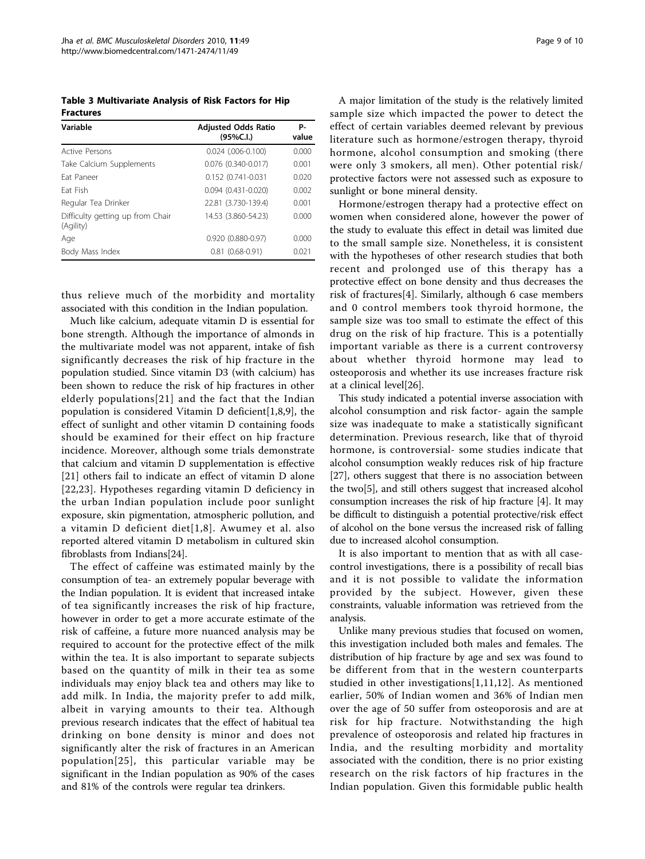<span id="page-8-0"></span>Table 3 Multivariate Analysis of Risk Factors for Hip Fractures

| Variable                                      | <b>Adjusted Odds Ratio</b><br>(95%C.1) | Р-<br>value |
|-----------------------------------------------|----------------------------------------|-------------|
| <b>Active Persons</b>                         | $0.024$ $(.006-0.100)$                 | 0.000       |
| Take Calcium Supplements                      | $0.076$ (0.340-0.017)                  | 0.001       |
| Fat Paneer                                    | 0.152 (0.741-0.031                     | 0.020       |
| Fat Fish                                      | $0.094$ $(0.431 - 0.020)$              | 0.002       |
| Regular Tea Drinker                           | 22.81 (3.730-139.4)                    | 0.001       |
| Difficulty getting up from Chair<br>(Agility) | 14.53 (3.860-54.23)                    | 0.000       |
| Age                                           | $0.920(0.880 - 0.97)$                  | 0.000       |
| Body Mass Index                               | $0.81(0.68-0.91)$                      | 0.021       |

thus relieve much of the morbidity and mortality associated with this condition in the Indian population.

Much like calcium, adequate vitamin D is essential for bone strength. Although the importance of almonds in the multivariate model was not apparent, intake of fish significantly decreases the risk of hip fracture in the population studied. Since vitamin D3 (with calcium) has been shown to reduce the risk of hip fractures in other elderly populations[[21](#page-9-0)] and the fact that the Indian population is considered Vitamin D deficient[\[1](#page-9-0),[8](#page-9-0),[9\]](#page-9-0), the effect of sunlight and other vitamin D containing foods should be examined for their effect on hip fracture incidence. Moreover, although some trials demonstrate that calcium and vitamin D supplementation is effective [[21](#page-9-0)] others fail to indicate an effect of vitamin D alone [[22](#page-9-0),[23\]](#page-9-0). Hypotheses regarding vitamin D deficiency in the urban Indian population include poor sunlight exposure, skin pigmentation, atmospheric pollution, and a vitamin D deficient diet[[1,8\]](#page-9-0). Awumey et al. also reported altered vitamin D metabolism in cultured skin fibroblasts from Indians[[24\]](#page-9-0).

The effect of caffeine was estimated mainly by the consumption of tea- an extremely popular beverage with the Indian population. It is evident that increased intake of tea significantly increases the risk of hip fracture, however in order to get a more accurate estimate of the risk of caffeine, a future more nuanced analysis may be required to account for the protective effect of the milk within the tea. It is also important to separate subjects based on the quantity of milk in their tea as some individuals may enjoy black tea and others may like to add milk. In India, the majority prefer to add milk, albeit in varying amounts to their tea. Although previous research indicates that the effect of habitual tea drinking on bone density is minor and does not significantly alter the risk of fractures in an American population[[25\]](#page-9-0), this particular variable may be significant in the Indian population as 90% of the cases and 81% of the controls were regular tea drinkers.

A major limitation of the study is the relatively limited sample size which impacted the power to detect the effect of certain variables deemed relevant by previous literature such as hormone/estrogen therapy, thyroid hormone, alcohol consumption and smoking (there were only 3 smokers, all men). Other potential risk/ protective factors were not assessed such as exposure to sunlight or bone mineral density.

Hormone/estrogen therapy had a protective effect on women when considered alone, however the power of the study to evaluate this effect in detail was limited due to the small sample size. Nonetheless, it is consistent with the hypotheses of other research studies that both recent and prolonged use of this therapy has a protective effect on bone density and thus decreases the risk of fractures[[4\]](#page-9-0). Similarly, although 6 case members and 0 control members took thyroid hormone, the sample size was too small to estimate the effect of this drug on the risk of hip fracture. This is a potentially important variable as there is a current controversy about whether thyroid hormone may lead to osteoporosis and whether its use increases fracture risk at a clinical level[\[26](#page-9-0)].

This study indicated a potential inverse association with alcohol consumption and risk factor- again the sample size was inadequate to make a statistically significant determination. Previous research, like that of thyroid hormone, is controversial- some studies indicate that alcohol consumption weakly reduces risk of hip fracture [[27\]](#page-9-0), others suggest that there is no association between the two[[5\]](#page-9-0), and still others suggest that increased alcohol consumption increases the risk of hip fracture [[4\]](#page-9-0). It may be difficult to distinguish a potential protective/risk effect of alcohol on the bone versus the increased risk of falling due to increased alcohol consumption.

It is also important to mention that as with all casecontrol investigations, there is a possibility of recall bias and it is not possible to validate the information provided by the subject. However, given these constraints, valuable information was retrieved from the analysis.

Unlike many previous studies that focused on women, this investigation included both males and females. The distribution of hip fracture by age and sex was found to be different from that in the western counterparts studied in other investigations[[1](#page-9-0),[11,12](#page-9-0)]. As mentioned earlier, 50% of Indian women and 36% of Indian men over the age of 50 suffer from osteoporosis and are at risk for hip fracture. Notwithstanding the high prevalence of osteoporosis and related hip fractures in India, and the resulting morbidity and mortality associated with the condition, there is no prior existing research on the risk factors of hip fractures in the Indian population. Given this formidable public health